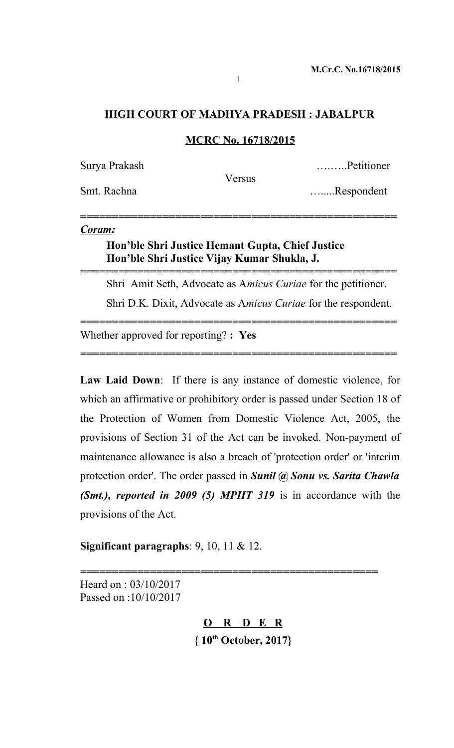## **HIGH COURT OF MADHYA PRADESH : JABALPUR**

#### **MCRC No. 16718/2015**

| Surya Prakash |        | Petitioner |
|---------------|--------|------------|
|               | Versus |            |
| Smt. Rachna   |        | Respondent |
|               |        |            |

**=***=================================================*

*==================================================*

*==================================================*

*==================================================*

#### *Coram:*

# **Hon'ble Shri Justice Hemant Gupta, Chief Justice Hon'ble Shri Justice Vijay Kumar Shukla, J.**

Shri Amit Seth, Advocate as A*micus Curiae* for the petitioner. Shri D.K. Dixit, Advocate as A*micus Curiae* for the respondent.

Whether approved for reporting? **: Yes**

**Law Laid Down**: If there is any instance of domestic violence, for which an affirmative or prohibitory order is passed under Section 18 of the Protection of Women from Domestic Violence Act, 2005, the provisions of Section 31 of the Act can be invoked. Non-payment of maintenance allowance is also a breach of 'protection order' or 'interim protection order'. The order passed in *Sunil @ Sonu vs. Sarita Chawla (Smt.), reported in 2009 (5) MPHT 319* is in accordance with the provisions of the Act.

**Significant paragraphs**: 9, 10, 11 & 12.

Heard on : 03/10/2017 Passed on :10/10/2017

> **O R D E R { 10th October, 2017}**

*===============================================*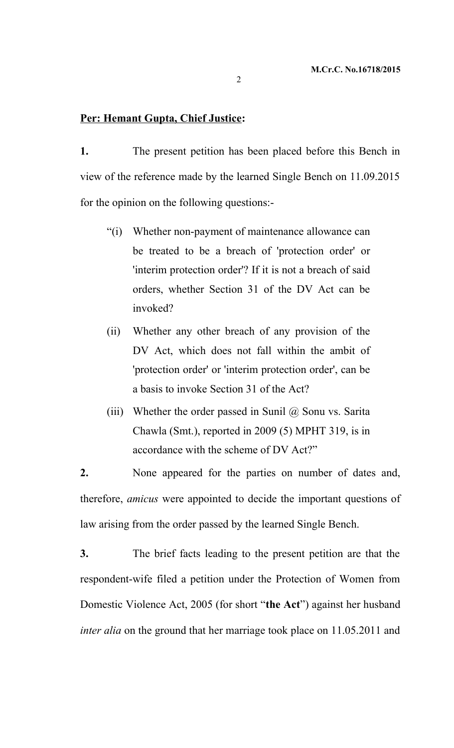#### **Per: Hemant Gupta, Chief Justice:**

**1.** The present petition has been placed before this Bench in view of the reference made by the learned Single Bench on 11.09.2015 for the opinion on the following questions:-

- "(i) Whether non-payment of maintenance allowance can be treated to be a breach of 'protection order' or 'interim protection order'? If it is not a breach of said orders, whether Section 31 of the DV Act can be invoked?
- (ii) Whether any other breach of any provision of the DV Act, which does not fall within the ambit of 'protection order' or 'interim protection order', can be a basis to invoke Section 31 of the Act?
- (iii) Whether the order passed in Sunil  $\omega$  Sonu vs. Sarita Chawla (Smt.), reported in 2009 (5) MPHT 319, is in accordance with the scheme of DV Act?"

**2.** None appeared for the parties on number of dates and, therefore, *amicus* were appointed to decide the important questions of law arising from the order passed by the learned Single Bench.

**3.** The brief facts leading to the present petition are that the respondent-wife filed a petition under the Protection of Women from Domestic Violence Act, 2005 (for short "**the Act**") against her husband *inter alia* on the ground that her marriage took place on 11.05.2011 and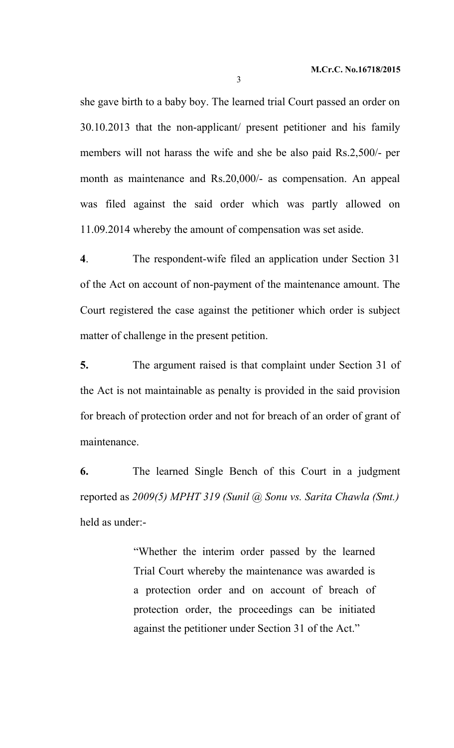she gave birth to a baby boy. The learned trial Court passed an order on 30.10.2013 that the non-applicant/ present petitioner and his family members will not harass the wife and she be also paid Rs.2,500/- per month as maintenance and Rs.20,000/- as compensation. An appeal was filed against the said order which was partly allowed on 11.09.2014 whereby the amount of compensation was set aside.

**4**. The respondent-wife filed an application under Section 31 of the Act on account of non-payment of the maintenance amount. The Court registered the case against the petitioner which order is subject matter of challenge in the present petition.

**5.** The argument raised is that complaint under Section 31 of the Act is not maintainable as penalty is provided in the said provision for breach of protection order and not for breach of an order of grant of maintenance.

**6.** The learned Single Bench of this Court in a judgment reported as *2009(5) MPHT 319 (Sunil @ Sonu vs. Sarita Chawla (Smt.)* held as under:-

> "Whether the interim order passed by the learned Trial Court whereby the maintenance was awarded is a protection order and on account of breach of protection order, the proceedings can be initiated against the petitioner under Section 31 of the Act."

3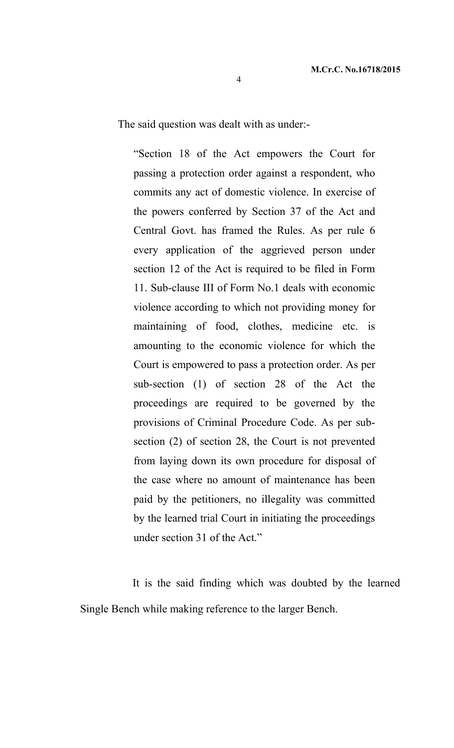The said question was dealt with as under:-

"Section 18 of the Act empowers the Court for passing a protection order against a respondent, who commits any act of domestic violence. In exercise of the powers conferred by Section 37 of the Act and Central Govt. has framed the Rules. As per rule 6 every application of the aggrieved person under section 12 of the Act is required to be filed in Form 11. Sub-clause III of Form No.1 deals with economic violence according to which not providing money for maintaining of food, clothes, medicine etc. is amounting to the economic violence for which the Court is empowered to pass a protection order. As per sub-section (1) of section 28 of the Act the proceedings are required to be governed by the provisions of Criminal Procedure Code. As per subsection (2) of section 28, the Court is not prevented from laying down its own procedure for disposal of the case where no amount of maintenance has been paid by the petitioners, no illegality was committed by the learned trial Court in initiating the proceedings under section 31 of the Act."

It is the said finding which was doubted by the learned Single Bench while making reference to the larger Bench.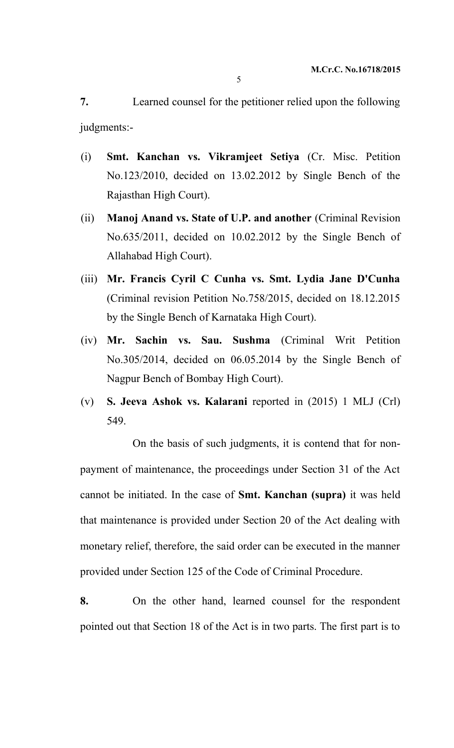**7.** Learned counsel for the petitioner relied upon the following judgments:-

- (i) **Smt. Kanchan vs. Vikramjeet Setiya** (Cr. Misc. Petition No.123/2010, decided on 13.02.2012 by Single Bench of the Rajasthan High Court).
- (ii) **Manoj Anand vs. State of U.P. and another** (Criminal Revision No.635/2011, decided on 10.02.2012 by the Single Bench of Allahabad High Court).
- (iii) **Mr. Francis Cyril C Cunha vs. Smt. Lydia Jane D'Cunha** (Criminal revision Petition No.758/2015, decided on 18.12.2015 by the Single Bench of Karnataka High Court).
- (iv) **Mr. Sachin vs. Sau. Sushma** (Criminal Writ Petition No.305/2014, decided on 06.05.2014 by the Single Bench of Nagpur Bench of Bombay High Court).
- (v) **S. Jeeva Ashok vs. Kalarani** reported in (2015) 1 MLJ (Crl) 549.

On the basis of such judgments, it is contend that for nonpayment of maintenance, the proceedings under Section 31 of the Act cannot be initiated. In the case of **Smt. Kanchan (supra)** it was held that maintenance is provided under Section 20 of the Act dealing with monetary relief, therefore, the said order can be executed in the manner provided under Section 125 of the Code of Criminal Procedure.

**8.** On the other hand, learned counsel for the respondent pointed out that Section 18 of the Act is in two parts. The first part is to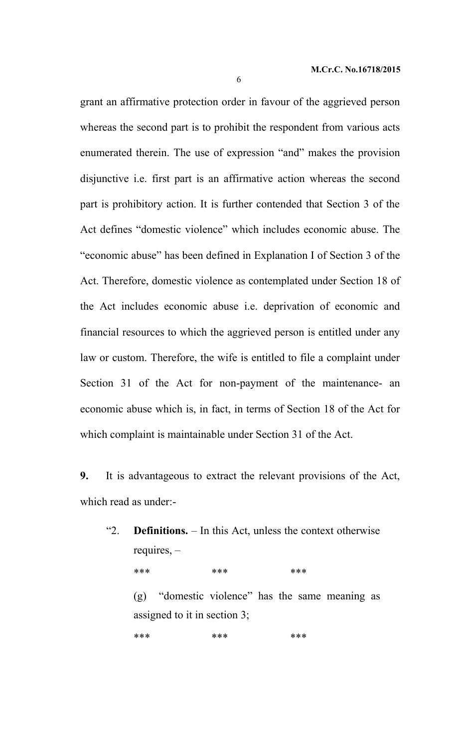grant an affirmative protection order in favour of the aggrieved person whereas the second part is to prohibit the respondent from various acts enumerated therein. The use of expression "and" makes the provision disjunctive i.e. first part is an affirmative action whereas the second part is prohibitory action. It is further contended that Section 3 of the Act defines "domestic violence" which includes economic abuse. The "economic abuse" has been defined in Explanation I of Section 3 of the Act. Therefore, domestic violence as contemplated under Section 18 of the Act includes economic abuse i.e. deprivation of economic and financial resources to which the aggrieved person is entitled under any law or custom. Therefore, the wife is entitled to file a complaint under Section 31 of the Act for non-payment of the maintenance- an economic abuse which is, in fact, in terms of Section 18 of the Act for which complaint is maintainable under Section 31 of the Act.

**9.** It is advantageous to extract the relevant provisions of the Act, which read as under:-

"2. **Definitions.** – In this Act, unless the context otherwise requires, –

\*\*\* \*\*\* \*\*\* \*\*\*

(g) "domestic violence" has the same meaning as assigned to it in section 3;

\*\*\* \*\*\* \*\*\* \*\*\*

6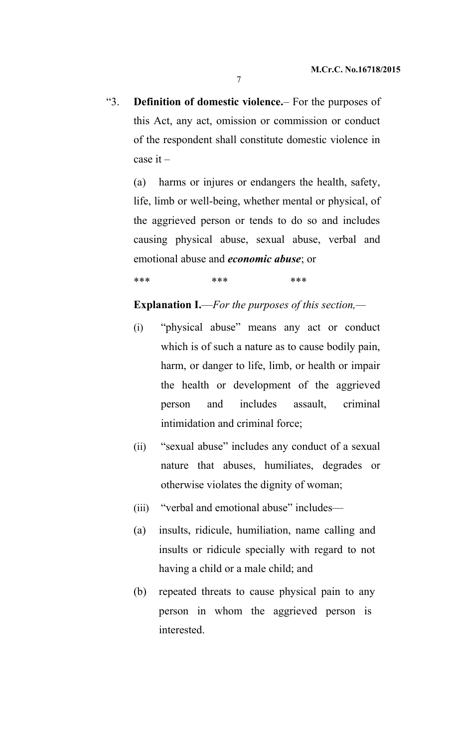"3. **Definition of domestic violence.**– For the purposes of this Act, any act, omission or commission or conduct of the respondent shall constitute domestic violence in case it –

(a) harms or injures or endangers the health, safety, life, limb or well-being, whether mental or physical, of the aggrieved person or tends to do so and includes causing physical abuse, sexual abuse, verbal and emotional abuse and *economic abuse*; or

\*\*\* \*\*\* \*\*\* \*\*\*

# **Explanation I.**—*For the purposes of this section,—*

- (i) "physical abuse" means any act or conduct which is of such a nature as to cause bodily pain, harm, or danger to life, limb, or health or impair the health or development of the aggrieved person and includes assault, criminal intimidation and criminal force;
- (ii) "sexual abuse" includes any conduct of a sexual nature that abuses, humiliates, degrades or otherwise violates the dignity of woman;
- (iii) "verbal and emotional abuse" includes—
- (a) insults, ridicule, humiliation, name calling and insults or ridicule specially with regard to not having a child or a male child; and
- (b) repeated threats to cause physical pain to any person in whom the aggrieved person is interested.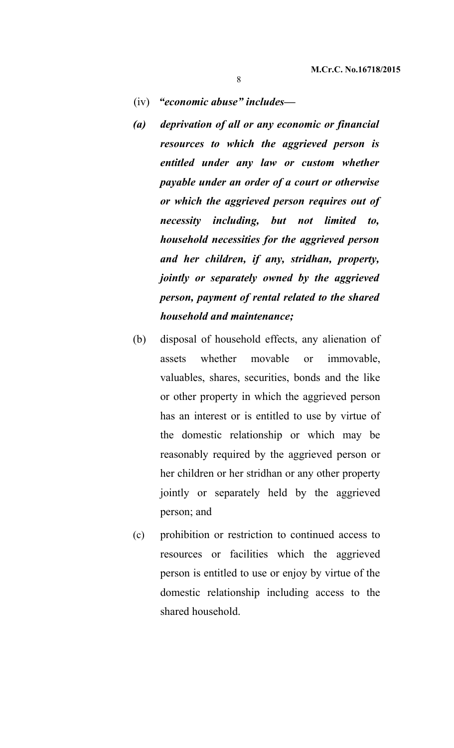## (iv) *"economic abuse" includes—*

- *(a) deprivation of all or any economic or financial resources to which the aggrieved person is entitled under any law or custom whether payable under an order of a court or otherwise or which the aggrieved person requires out of necessity including, but not limited to, household necessities for the aggrieved person and her children, if any, stridhan, property, jointly or separately owned by the aggrieved person, payment of rental related to the shared household and maintenance;*
- (b) disposal of household effects, any alienation of assets whether movable or immovable, valuables, shares, securities, bonds and the like or other property in which the aggrieved person has an interest or is entitled to use by virtue of the domestic relationship or which may be reasonably required by the aggrieved person or her children or her stridhan or any other property jointly or separately held by the aggrieved person; and
- (c) prohibition or restriction to continued access to resources or facilities which the aggrieved person is entitled to use or enjoy by virtue of the domestic relationship including access to the shared household.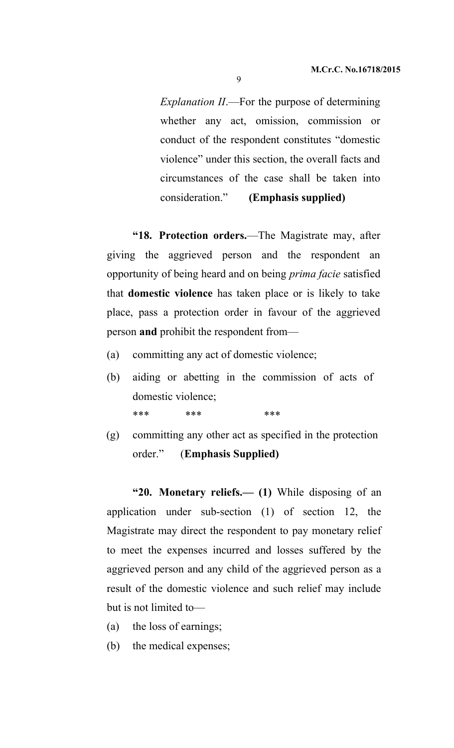*Explanation II*.—For the purpose of determining whether any act, omission, commission or conduct of the respondent constitutes "domestic violence" under this section, the overall facts and circumstances of the case shall be taken into consideration." **(Emphasis supplied)**

**"18. Protection orders.**—The Magistrate may, after giving the aggrieved person and the respondent an opportunity of being heard and on being *prima facie* satisfied that **domestic violence** has taken place or is likely to take place, pass a protection order in favour of the aggrieved person **and** prohibit the respondent from—

- (a) committing any act of domestic violence;
- (b) aiding or abetting in the commission of acts of domestic violence; \*\*\* \*\*\* \*\*\* \*\*\*
- (g) committing any other act as specified in the protection order." (**Emphasis Supplied)**

**"20. Monetary reliefs.— (1)** While disposing of an application under sub-section (1) of section 12, the Magistrate may direct the respondent to pay monetary relief to meet the expenses incurred and losses suffered by the aggrieved person and any child of the aggrieved person as a result of the domestic violence and such relief may include but is not limited to—

- (a) the loss of earnings;
- (b) the medical expenses;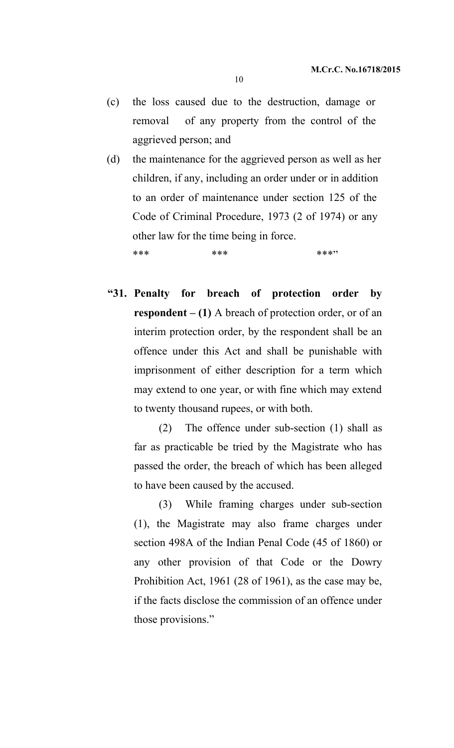- (c) the loss caused due to the destruction, damage or removal of any property from the control of the aggrieved person; and
- (d) the maintenance for the aggrieved person as well as her children, if any, including an order under or in addition to an order of maintenance under section 125 of the Code of Criminal Procedure, 1973 (2 of 1974) or any other law for the time being in force.

\*\*\* \*\*\* \*\*\* \*\*\* \*\*\*

**"31. Penalty for breach of protection order by respondent – (1)** A breach of protection order, or of an interim protection order, by the respondent shall be an offence under this Act and shall be punishable with imprisonment of either description for a term which may extend to one year, or with fine which may extend to twenty thousand rupees, or with both.

(2) The offence under sub-section (1) shall as far as practicable be tried by the Magistrate who has passed the order, the breach of which has been alleged to have been caused by the accused.

(3) While framing charges under sub-section (1), the Magistrate may also frame charges under section 498A of the Indian Penal Code (45 of 1860) or any other provision of that Code or the Dowry Prohibition Act, 1961 (28 of 1961), as the case may be, if the facts disclose the commission of an offence under those provisions."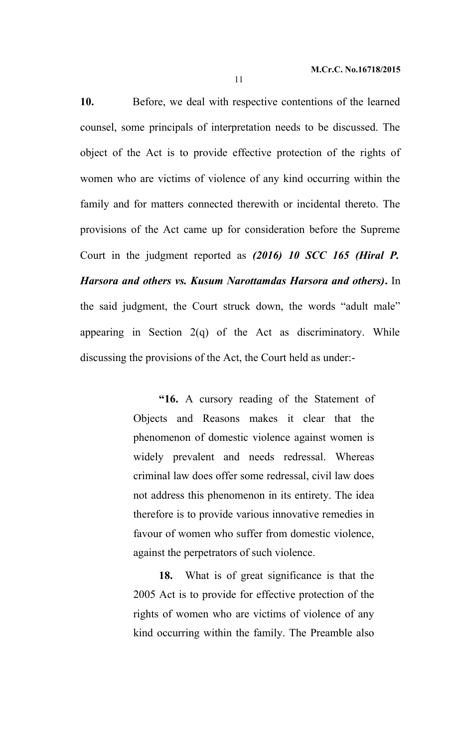**10.** Before, we deal with respective contentions of the learned counsel, some principals of interpretation needs to be discussed. The object of the Act is to provide effective protection of the rights of women who are victims of violence of any kind occurring within the family and for matters connected therewith or incidental thereto. The provisions of the Act came up for consideration before the Supreme Court in the judgment reported as *(2016) 10 SCC 165 (Hiral P. Harsora and others vs. Kusum Narottamdas Harsora and others)***.** In the said judgment, the Court struck down, the words "adult male" appearing in Section  $2(q)$  of the Act as discriminatory. While discussing the provisions of the Act, the Court held as under:-

> **"16.** A cursory reading of the Statement of Objects and Reasons makes it clear that the phenomenon of domestic violence against women is widely prevalent and needs redressal. Whereas criminal law does offer some redressal, civil law does not address this phenomenon in its entirety. The idea therefore is to provide various innovative remedies in favour of women who suffer from domestic violence, against the perpetrators of such violence.

> **18.** What is of great significance is that the 2005 Act is to provide for effective protection of the rights of women who are victims of violence of any kind occurring within the family. The Preamble also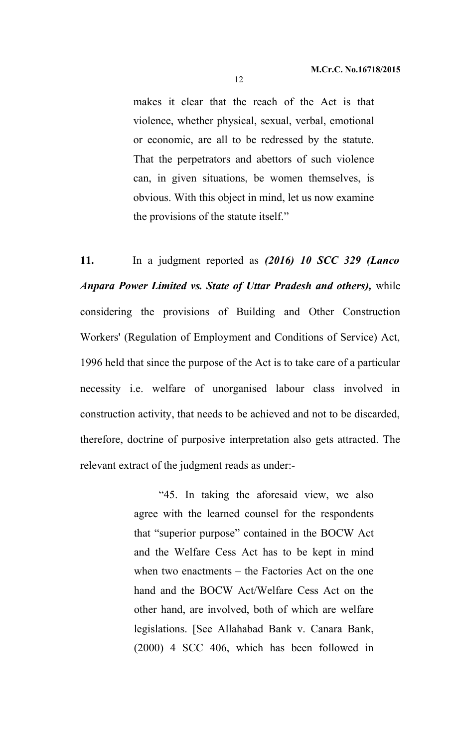makes it clear that the reach of the Act is that violence, whether physical, sexual, verbal, emotional or economic, are all to be redressed by the statute. That the perpetrators and abettors of such violence can, in given situations, be women themselves, is obvious. With this object in mind, let us now examine the provisions of the statute itself."

**11.** In a judgment reported as *(2016) 10 SCC 329 (Lanco Anpara Power Limited vs. State of Uttar Pradesh and others),* while considering the provisions of Building and Other Construction Workers' (Regulation of Employment and Conditions of Service) Act, 1996 held that since the purpose of the Act is to take care of a particular necessity i.e. welfare of unorganised labour class involved in construction activity, that needs to be achieved and not to be discarded, therefore, doctrine of purposive interpretation also gets attracted. The relevant extract of the judgment reads as under:-

> "45. In taking the aforesaid view, we also agree with the learned counsel for the respondents that "superior purpose" contained in the BOCW Act and the Welfare Cess Act has to be kept in mind when two enactments – the Factories Act on the one hand and the BOCW Act/Welfare Cess Act on the other hand, are involved, both of which are welfare legislations. [See Allahabad Bank v. Canara Bank, (2000) 4 SCC 406, which has been followed in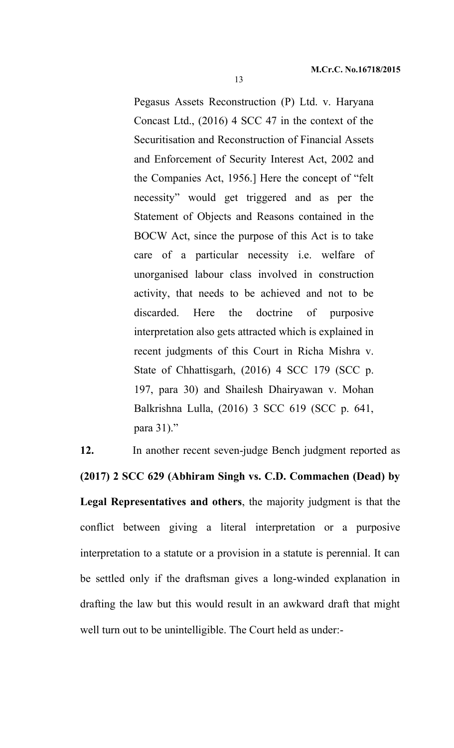Pegasus Assets Reconstruction (P) Ltd. v. Haryana Concast Ltd., (2016) 4 SCC 47 in the context of the Securitisation and Reconstruction of Financial Assets and Enforcement of Security Interest Act, 2002 and the Companies Act, 1956.] Here the concept of "felt necessity" would get triggered and as per the Statement of Objects and Reasons contained in the BOCW Act, since the purpose of this Act is to take care of a particular necessity i.e. welfare of unorganised labour class involved in construction activity, that needs to be achieved and not to be discarded. Here the doctrine of purposive interpretation also gets attracted which is explained in recent judgments of this Court in Richa Mishra v. State of Chhattisgarh, (2016) 4 SCC 179 (SCC p. 197, para 30) and Shailesh Dhairyawan v. Mohan Balkrishna Lulla, (2016) 3 SCC 619 (SCC p. 641, para 31)."

**12.** In another recent seven-judge Bench judgment reported as **(2017) 2 SCC 629 (Abhiram Singh vs. C.D. Commachen (Dead) by Legal Representatives and others**, the majority judgment is that the conflict between giving a literal interpretation or a purposive interpretation to a statute or a provision in a statute is perennial. It can be settled only if the draftsman gives a long-winded explanation in drafting the law but this would result in an awkward draft that might well turn out to be unintelligible. The Court held as under:-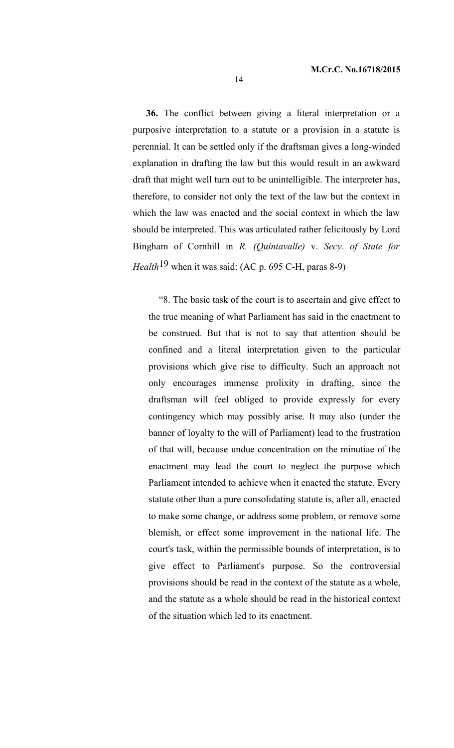**36.** The conflict between giving a literal interpretation or a purposive interpretation to a statute or a provision in a statute is perennial. It can be settled only if the draftsman gives a long-winded explanation in drafting the law but this would result in an awkward draft that might well turn out to be unintelligible. The interpreter has, therefore, to consider not only the text of the law but the context in which the law was enacted and the social context in which the law should be interpreted. This was articulated rather felicitously by Lord Bingham of Cornhill in *R. (Quintavalle)* v. *Secy. of State for Health*<sup>19</sup> when it was said: (AC p. 695 C-H, paras 8-9)

"8. The basic task of the court is to ascertain and give effect to the true meaning of what Parliament has said in the enactment to be construed. But that is not to say that attention should be confined and a literal interpretation given to the particular provisions which give rise to difficulty. Such an approach not only encourages immense prolixity in drafting, since the draftsman will feel obliged to provide expressly for every contingency which may possibly arise. It may also (under the banner of loyalty to the will of Parliament) lead to the frustration of that will, because undue concentration on the minutiae of the enactment may lead the court to neglect the purpose which Parliament intended to achieve when it enacted the statute. Every statute other than a pure consolidating statute is, after all, enacted to make some change, or address some problem, or remove some blemish, or effect some improvement in the national life. The court's task, within the permissible bounds of interpretation, is to give effect to Parliament's purpose. So the controversial provisions should be read in the context of the statute as a whole, and the statute as a whole should be read in the historical context of the situation which led to its enactment.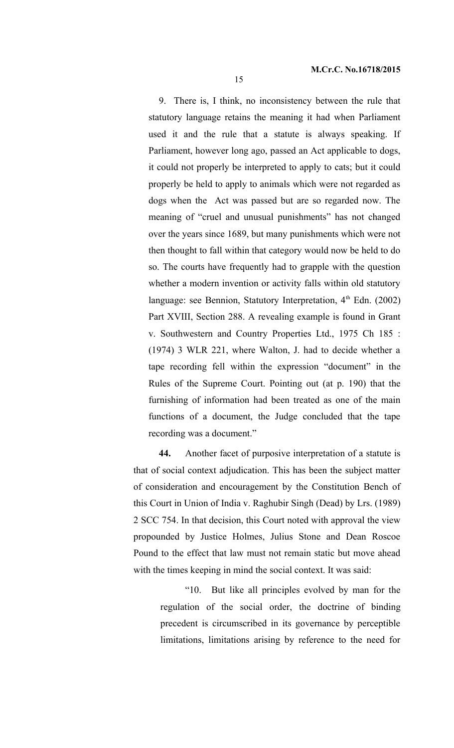9. There is, I think, no inconsistency between the rule that statutory language retains the meaning it had when Parliament used it and the rule that a statute is always speaking. If Parliament, however long ago, passed an Act applicable to dogs, it could not properly be interpreted to apply to cats; but it could properly be held to apply to animals which were not regarded as dogs when the Act was passed but are so regarded now. The meaning of "cruel and unusual punishments" has not changed over the years since 1689, but many punishments which were not then thought to fall within that category would now be held to do so. The courts have frequently had to grapple with the question whether a modern invention or activity falls within old statutory language: see Bennion, Statutory Interpretation,  $4<sup>th</sup>$  Edn. (2002) Part XVIII, Section 288. A revealing example is found in Grant v. Southwestern and Country Properties Ltd., 1975 Ch 185 : (1974) 3 WLR 221, where Walton, J. had to decide whether a tape recording fell within the expression "document" in the Rules of the Supreme Court. Pointing out (at p. 190) that the furnishing of information had been treated as one of the main functions of a document, the Judge concluded that the tape recording was a document."

**44.** Another facet of purposive interpretation of a statute is that of social context adjudication. This has been the subject matter of consideration and encouragement by the Constitution Bench of this Court in Union of India v. Raghubir Singh (Dead) by Lrs. (1989) 2 SCC 754. In that decision, this Court noted with approval the view propounded by Justice Holmes, Julius Stone and Dean Roscoe Pound to the effect that law must not remain static but move ahead with the times keeping in mind the social context. It was said:

> "10. But like all principles evolved by man for the regulation of the social order, the doctrine of binding precedent is circumscribed in its governance by perceptible limitations, limitations arising by reference to the need for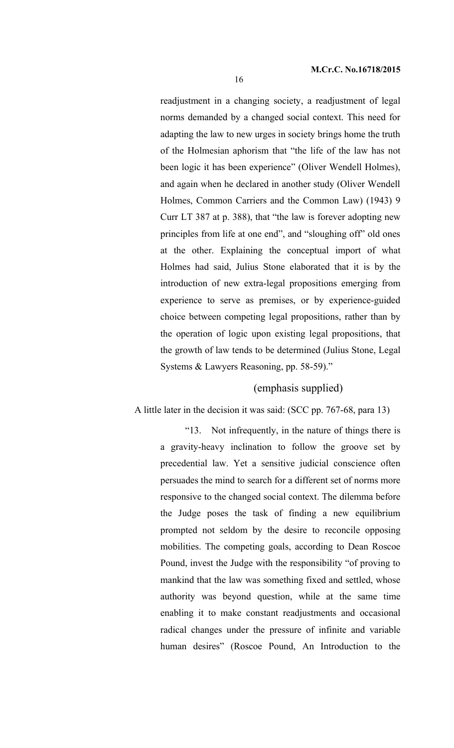readjustment in a changing society, a readjustment of legal norms demanded by a changed social context. This need for adapting the law to new urges in society brings home the truth of the Holmesian aphorism that "the life of the law has not been logic it has been experience" (Oliver Wendell Holmes), and again when he declared in another study (Oliver Wendell Holmes, Common Carriers and the Common Law) (1943) 9 Curr LT 387 at p. 388), that "the law is forever adopting new principles from life at one end", and "sloughing off" old ones at the other. Explaining the conceptual import of what Holmes had said, Julius Stone elaborated that it is by the introduction of new extra-legal propositions emerging from experience to serve as premises, or by experience-guided choice between competing legal propositions, rather than by the operation of logic upon existing legal propositions, that the growth of law tends to be determined (Julius Stone, Legal Systems & Lawyers Reasoning, pp. 58-59)."

# (emphasis supplied)

#### A little later in the decision it was said: (SCC pp. 767-68, para 13)

"13. Not infrequently, in the nature of things there is a gravity-heavy inclination to follow the groove set by precedential law. Yet a sensitive judicial conscience often persuades the mind to search for a different set of norms more responsive to the changed social context. The dilemma before the Judge poses the task of finding a new equilibrium prompted not seldom by the desire to reconcile opposing mobilities. The competing goals, according to Dean Roscoe Pound, invest the Judge with the responsibility "of proving to mankind that the law was something fixed and settled, whose authority was beyond question, while at the same time enabling it to make constant readjustments and occasional radical changes under the pressure of infinite and variable human desires" (Roscoe Pound, An Introduction to the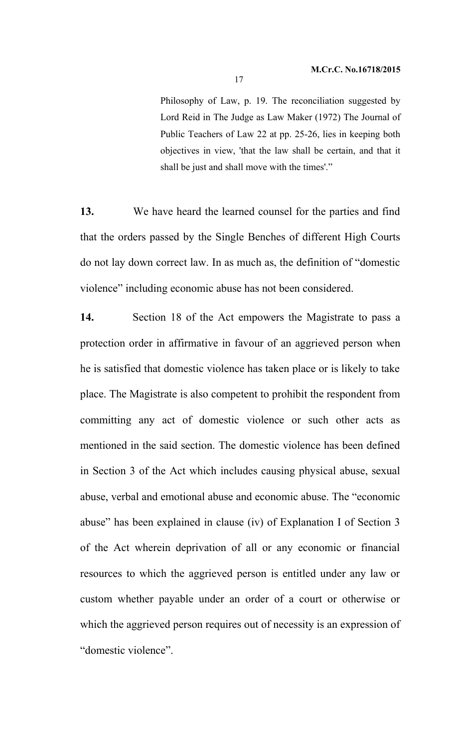Philosophy of Law, p. 19. The reconciliation suggested by Lord Reid in The Judge as Law Maker (1972) The Journal of Public Teachers of Law 22 at pp. 25-26, lies in keeping both objectives in view, 'that the law shall be certain, and that it shall be just and shall move with the times'."

**13.** We have heard the learned counsel for the parties and find that the orders passed by the Single Benches of different High Courts do not lay down correct law. In as much as, the definition of "domestic violence" including economic abuse has not been considered.

**14.** Section 18 of the Act empowers the Magistrate to pass a protection order in affirmative in favour of an aggrieved person when he is satisfied that domestic violence has taken place or is likely to take place. The Magistrate is also competent to prohibit the respondent from committing any act of domestic violence or such other acts as mentioned in the said section. The domestic violence has been defined in Section 3 of the Act which includes causing physical abuse, sexual abuse, verbal and emotional abuse and economic abuse. The "economic abuse" has been explained in clause (iv) of Explanation I of Section 3 of the Act wherein deprivation of all or any economic or financial resources to which the aggrieved person is entitled under any law or custom whether payable under an order of a court or otherwise or which the aggrieved person requires out of necessity is an expression of "domestic violence".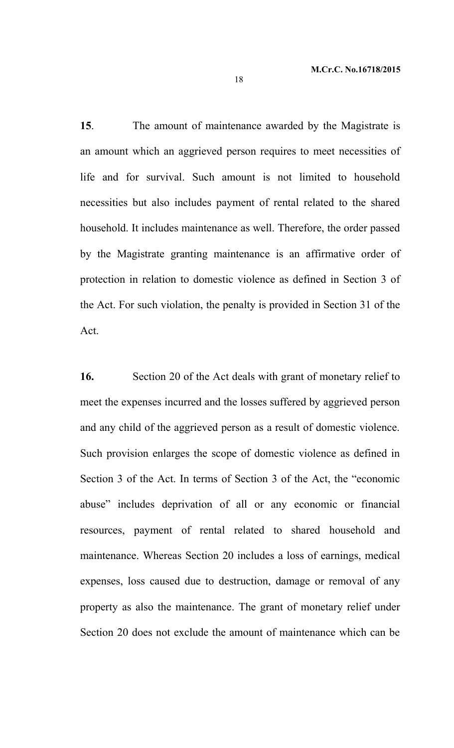**15**. The amount of maintenance awarded by the Magistrate is an amount which an aggrieved person requires to meet necessities of life and for survival. Such amount is not limited to household necessities but also includes payment of rental related to the shared household. It includes maintenance as well. Therefore, the order passed by the Magistrate granting maintenance is an affirmative order of protection in relation to domestic violence as defined in Section 3 of the Act. For such violation, the penalty is provided in Section 31 of the Act.

**16.** Section 20 of the Act deals with grant of monetary relief to meet the expenses incurred and the losses suffered by aggrieved person and any child of the aggrieved person as a result of domestic violence. Such provision enlarges the scope of domestic violence as defined in Section 3 of the Act. In terms of Section 3 of the Act, the "economic abuse" includes deprivation of all or any economic or financial resources, payment of rental related to shared household and maintenance. Whereas Section 20 includes a loss of earnings, medical expenses, loss caused due to destruction, damage or removal of any property as also the maintenance. The grant of monetary relief under Section 20 does not exclude the amount of maintenance which can be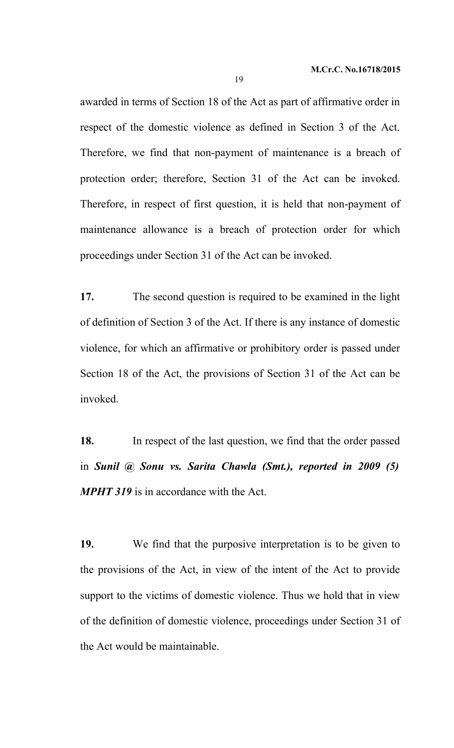awarded in terms of Section 18 of the Act as part of affirmative order in respect of the domestic violence as defined in Section 3 of the Act. Therefore, we find that non-payment of maintenance is a breach of protection order; therefore, Section 31 of the Act can be invoked. Therefore, in respect of first question, it is held that non-payment of maintenance allowance is a breach of protection order for which proceedings under Section 31 of the Act can be invoked.

**17.** The second question is required to be examined in the light of definition of Section 3 of the Act. If there is any instance of domestic violence, for which an affirmative or prohibitory order is passed under Section 18 of the Act, the provisions of Section 31 of the Act can be invoked.

**18.** In respect of the last question, we find that the order passed in *Sunil @ Sonu vs. Sarita Chawla (Smt.), reported in 2009 (5) MPHT 319* is in accordance with the Act.

**19.** We find that the purposive interpretation is to be given to the provisions of the Act, in view of the intent of the Act to provide support to the victims of domestic violence. Thus we hold that in view of the definition of domestic violence, proceedings under Section 31 of the Act would be maintainable.